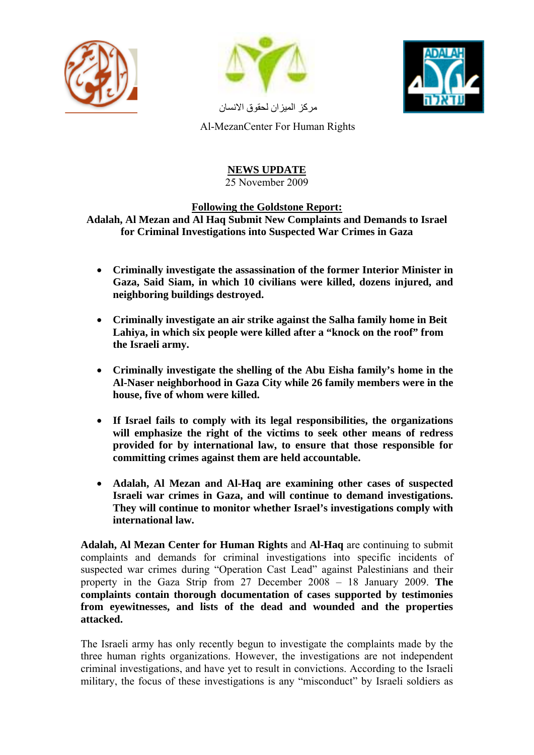





مركز الميزان لحقوق الانسان

Al-MezanCenter For Human Rights

## **NEWS UPDATE** 25 November 2009

## **Following the Goldstone Report:**

**Adalah, Al Mezan and Al Haq Submit New Complaints and Demands to Israel for Criminal Investigations into Suspected War Crimes in Gaza** 

- **Criminally investigate the assassination of the former Interior Minister in Gaza, Said Siam, in which 10 civilians were killed, dozens injured, and neighboring buildings destroyed.**
- **Criminally investigate an air strike against the Salha family home in Beit Lahiya, in which six people were killed after a "knock on the roof" from the Israeli army.**
- **Criminally investigate the shelling of the Abu Eisha family's home in the Al-Naser neighborhood in Gaza City while 26 family members were in the house, five of whom were killed.**
- **If Israel fails to comply with its legal responsibilities, the organizations will emphasize the right of the victims to seek other means of redress provided for by international law, to ensure that those responsible for committing crimes against them are held accountable.**
- **Adalah, Al Mezan and Al-Haq are examining other cases of suspected Israeli war crimes in Gaza, and will continue to demand investigations. They will continue to monitor whether Israel's investigations comply with international law.**

**Adalah, Al Mezan Center for Human Rights** and **Al-Haq** are continuing to submit complaints and demands for criminal investigations into specific incidents of suspected war crimes during "Operation Cast Lead" against Palestinians and their property in the Gaza Strip from 27 December 2008 – 18 January 2009. **The complaints contain thorough documentation of cases supported by testimonies from eyewitnesses, and lists of the dead and wounded and the properties attacked.** 

The Israeli army has only recently begun to investigate the complaints made by the three human rights organizations. However, the investigations are not independent criminal investigations, and have yet to result in convictions. According to the Israeli military, the focus of these investigations is any "misconduct" by Israeli soldiers as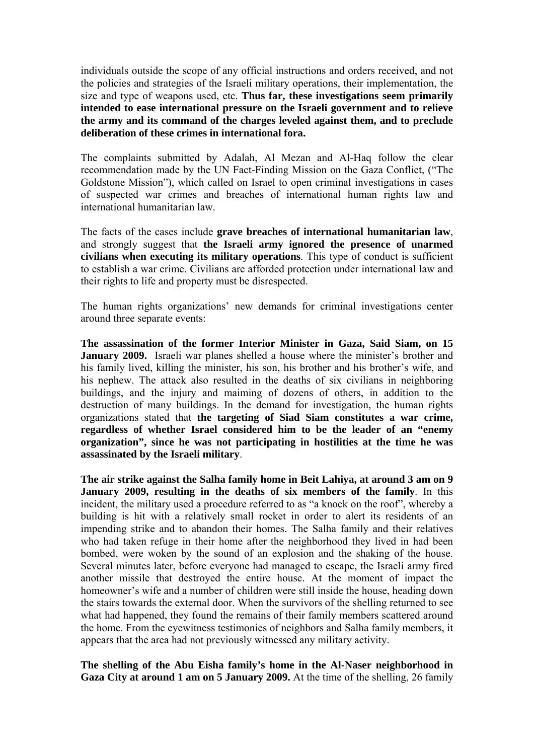individuals outside the scope of any official instructions and orders received, and not the policies and strategies of the Israeli military operations, their implementation, the size and type of weapons used, etc. **Thus far, these investigations seem primarily intended to ease international pressure on the Israeli government and to relieve the army and its command of the charges leveled against them, and to preclude deliberation of these crimes in international fora.** 

The complaints submitted by Adalah, Al Mezan and Al-Haq follow the clear recommendation made by the UN Fact-Finding Mission on the Gaza Conflict, ("The Goldstone Mission"), which called on Israel to open criminal investigations in cases of suspected war crimes and breaches of international human rights law and international humanitarian law.

The facts of the cases include **grave breaches of international humanitarian law**, and strongly suggest that **the Israeli army ignored the presence of unarmed civilians when executing its military operations**. This type of conduct is sufficient to establish a war crime. Civilians are afforded protection under international law and their rights to life and property must be disrespected.

The human rights organizations' new demands for criminal investigations center around three separate events:

**The assassination of the former Interior Minister in Gaza, Said Siam, on 15 January 2009.** Israeli war planes shelled a house where the minister's brother and his family lived, killing the minister, his son, his brother and his brother's wife, and his nephew. The attack also resulted in the deaths of six civilians in neighboring buildings, and the injury and maiming of dozens of others, in addition to the destruction of many buildings. In the demand for investigation, the human rights organizations stated that **the targeting of Siad Siam constitutes a war crime, regardless of whether Israel considered him to be the leader of an "enemy organization", since he was not participating in hostilities at the time he was assassinated by the Israeli military**.

**The air strike against the Salha family home in Beit Lahiya, at around 3 am on 9 January 2009, resulting in the deaths of six members of the family**. In this incident, the military used a procedure referred to as "a knock on the roof", whereby a building is hit with a relatively small rocket in order to alert its residents of an impending strike and to abandon their homes. The Salha family and their relatives who had taken refuge in their home after the neighborhood they lived in had been bombed, were woken by the sound of an explosion and the shaking of the house. Several minutes later, before everyone had managed to escape, the Israeli army fired another missile that destroyed the entire house. At the moment of impact the homeowner's wife and a number of children were still inside the house, heading down the stairs towards the external door. When the survivors of the shelling returned to see what had happened, they found the remains of their family members scattered around the home. From the eyewitness testimonies of neighbors and Salha family members, it appears that the area had not previously witnessed any military activity.

**The shelling of the Abu Eisha family's home in the Al-Naser neighborhood in Gaza City at around 1 am on 5 January 2009.** At the time of the shelling, 26 family